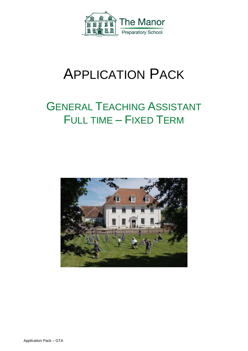

# APPLICATION PACK

## GENERAL TEACHING ASSISTANT FULL TIME – FIXED TERM

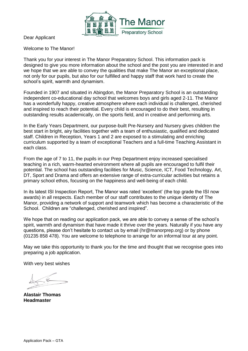

Dear Applicant

Welcome to The Manor!

Thank you for your interest in The Manor Preparatory School. This information pack is designed to give you more information about the school and the post you are interested in and we hope that we are able to convey the qualities that make The Manor an exceptional place, not only for our pupils, but also for our fulfilled and happy staff that work hard to create the school's spirit, warmth and dynamism.

Founded in 1907 and situated in Abingdon, the Manor Preparatory School is an outstanding independent co-educational day school that welcomes boys and girls aged 2-11. The Manor has a wonderfully happy, creative atmosphere where each individual is challenged, cherished and inspired to reach their potential. Every child is encouraged to do their best, resulting in outstanding results academically, on the sports field, and in creative and performing arts.

In the Early Years Department, our purpose-built Pre-Nursery and Nursery gives children the best start in bright, airy facilities together with a team of enthusiastic, qualified and dedicated staff. Children in Reception, Years 1 and 2 are exposed to a stimulating and enriching curriculum supported by a team of exceptional Teachers and a full-time Teaching Assistant in each class.

From the age of 7 to 11, the pupils in our Prep Department enjoy increased specialised teaching in a rich, warm-hearted environment where all pupils are encouraged to fulfil their potential. The school has outstanding facilities for Music, Science, ICT, Food Technology, Art, DT, Sport and Drama and offers an extensive range of extra-curricular activities but retains a primary school ethos, focusing on the happiness and well-being of each child.

In its latest ISI Inspection Report, The Manor was rated 'excellent' (the top grade the ISI now awards) in all respects. Each member of our staff contributes to the unique identity of The Manor, providing a network of support and teamwork which has become a characteristic of the School. Children are "challenged, cherished and inspired".

We hope that on reading our application pack, we are able to convey a sense of the school's spirit, warmth and dynamism that have made it thrive over the years. Naturally if you have any questions, please don't hesitate to contact us by email (hr@manorprep.org) or by phone (01235 858 478). You are welcome to telephone to arrange for an informal tour at any point.

May we take this opportunity to thank you for the time and thought that we recognise goes into preparing a job application.

With very best wishes

**Alastair Thomas Headmaster**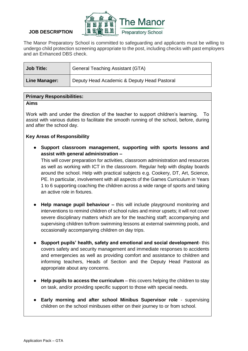

## **JOB DESCRIPTION**

The Manor Preparatory School is committed to safeguarding and applicants must be willing to undergo child protection screening appropriate to the post, including checks with past employers and an Enhanced DBS check.

| <b>Job Title:</b>    | <b>General Teaching Assistant (GTA)</b>     |  |
|----------------------|---------------------------------------------|--|
| <b>Line Manager:</b> | Deputy Head Academic & Deputy Head Pastoral |  |

## **Primary Responsibilities:**

#### **Aims**

Work with and under the direction of the teacher to support children's learning. To assist with various duties to facilitate the smooth running of the school, before, during and after the school day.

## **Key Areas of Responsibility**

Support classroom management, supporting with sports lessons and **assist with general administration –**

This will cover preparation for activities, classroom administration and resources as well as working with ICT in the classroom. Regular help with display boards around the school. Help with practical subjects e.g. Cookery, DT, Art, Science, PE. In particular, involvement with all aspects of the Games Curriculum in Years 1 to 6 supporting coaching the children across a wide range of sports and taking an active role in fixtures.

- **Help manage pupil behaviour –** this will include playground monitoring and interventions to remind children of school rules and minor upsets; it will not cover severe disciplinary matters which are for the teaching staff; accompanying and supervising children to/from swimming lessons at external swimming pools, and occasionally accompanying children on day trips.
- **Support pupils' health, safety and emotional and social development** this covers safety and security management and immediate responses to accidents and emergencies as well as providing comfort and assistance to children and informing teachers, Heads of Section and the Deputy Head Pastoral as appropriate about any concerns.
- **Help pupils to access the curriculum**  this covers helping the children to stay on task, and/or providing specific support to those with special needs.
- **Early morning and after school Minibus Supervisor role**  supervising children on the school minibuses either on their journey to or from school.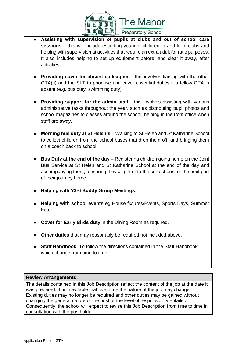

- Assisting with supervision of pupils at clubs and out of school care **sessions** – this will include escorting younger children to and from clubs and helping with supervision at activities that require an extra adult for ratio purposes. It also includes helping to set up equipment before, and clear it away, after activities.
- **Providing cover for absent colleagues -** this involves liaising with the other GTA(s) and the SLT to prioritise and cover essential duties if a fellow GTA is absent (e.g. bus duty, swimming duty).
- **Providing support for the admin staff -** this involves assisting with various administrative tasks throughout the year, such as distributing pupil photos and school magazines to classes around the school, helping in the front office when staff are away.
- **Morning bus duty at St Helen's** Walking to St Helen and St Katharine School to collect children from the school buses that drop them off, and bringing them on a coach back to school.
- **Bus Duty at the end of the day**  Registering children going home on the Joint Bus Service at St Helen and St Katharine School at the end of the day and accompanying them, ensuring they all get onto the correct bus for the next part of their journey home.
- **Helping with Y3-6 Buddy Group Meetings**.
- **Helping with school events** eg House fixtures/Events, Sports Days, Summer Fete.
- **Cover for Early Birds duty** in the Dining Room as required.
- **Other duties** that may reasonably be required not included above.
- **Staff Handbook** To follow the directions contained in the Staff Handbook, which change from time to time.

## **Review Arrangements:**

The details contained in this Job Description reflect the content of the job at the date it was prepared. It is inevitable that over time the nature of the job may change. Existing duties may no longer be required and other duties may be gained without changing the general nature of the post or the level of responsibility entailed. Consequently, the school will expect to revise this Job Description from time to time in consultation with the postholder.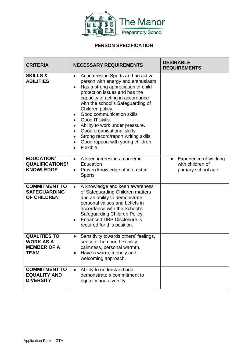

## **PERSON SPECIFICATION**

| <b>CRITERIA</b>                                                              | <b>NECESSARY REQUIREMENTS</b>                                                                                                                                                                                                                                                                                                                                                                                                                                                                                | <b>DESIRABLE</b><br><b>REQUIREMENTS</b>                         |
|------------------------------------------------------------------------------|--------------------------------------------------------------------------------------------------------------------------------------------------------------------------------------------------------------------------------------------------------------------------------------------------------------------------------------------------------------------------------------------------------------------------------------------------------------------------------------------------------------|-----------------------------------------------------------------|
| <b>SKILLS &amp;</b><br><b>ABILITIES</b>                                      | An interest in Sports and an active<br>$\bullet$<br>person with energy and enthusiasm<br>Has a strong appreciation of child<br>$\bullet$<br>protection issues and has the<br>capacity of acting in accordance<br>with the school's Safeguarding of<br>Children policy.<br>Good communication skills<br>$\bullet$<br>Good IT skills.<br>$\bullet$<br>Ability to work under pressure.<br>Good organisational skills.<br>Strong record/report writing skills.<br>Good rapport with young children.<br>Flexible. |                                                                 |
| <b>EDUCATION/</b><br><b>QUALIFICATIONS/</b><br><b>KNOWLEDGE</b>              | A keen interest in a career in<br>$\bullet$<br>Education<br>Proven knowledge of interest in<br>$\bullet$<br><b>Sports</b>                                                                                                                                                                                                                                                                                                                                                                                    | Experience of working<br>with children of<br>primary school age |
| <b>COMMITMENT TO</b><br><b>SAFEGUARDING</b><br><b>OF CHILDREN</b>            | A knowledge and keen awareness<br>$\bullet$<br>of Safeguarding Children matters<br>and an ability to demonstrate<br>personal values and beliefs in<br>accordance with the School's<br>Safeguarding Children Policy.<br><b>Enhanced DBS Disclosure is</b><br>$\bullet$<br>required for this position.                                                                                                                                                                                                         |                                                                 |
| <b>QUALITIES TO</b><br><b>WORK AS A</b><br><b>MEMBER OF A</b><br><b>TEAM</b> | Sensitivity towards others' feelings,<br>$\bullet$<br>sense of humour, flexibility,<br>calmness, personal warmth.<br>Have a warm, friendly and<br>$\bullet$<br>welcoming approach.                                                                                                                                                                                                                                                                                                                           |                                                                 |
| <b>COMMITMENT TO</b><br><b>EQUALITY AND</b><br><b>DIVERSITY</b>              | Ability to understand and<br>demonstrate a commitment to<br>equality and diversity.                                                                                                                                                                                                                                                                                                                                                                                                                          |                                                                 |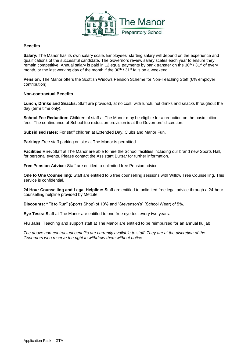

#### **Benefits**

**Salary:** The Manor has its own salary scale. Employees' starting salary will depend on the experience and qualifications of the successful candidate. The Governors review salary scales each year to ensure they remain competitive. Annual salary is paid in 12 equal payments by bank transfer on the 30<sup>th</sup> / 31<sup>st</sup> of every month, or the last working day of the month if the 30<sup>th</sup> / 31<sup>st</sup> falls on a weekend.

**Pension:** The Manor offers the Scottish Widows Pension Scheme for Non-Teaching Staff (6% employer contribution).

#### **Non-contractual Benefits**

**Lunch, Drinks and Snacks:** Staff are provided, at no cost, with lunch, hot drinks and snacks throughout the day (term time only).

**School Fee Reduction:** Children of staff at The Manor may be eligible for a reduction on the basic tuition fees. The continuance of School fee reduction provision is at the Governors' discretion.

**Subsidised rates:** For staff children at Extended Day, Clubs and Manor Fun.

**Parking:** Free staff parking on site at The Manor is permitted.

**Facilities Hire:** Staff at The Manor are able to hire the School facilities including our brand new Sports Hall, for personal events. Please contact the Assistant Bursar for further information.

**Free Pension Advice:** Staff are entitled to unlimited free Pension advice.

**One to One Counselling:** Staff are entitled to 6 free counselling sessions with Willow Tree Counselling. This service is confidential.

**24 Hour Counselling and Legal Helpline: S**taff are entitled to unlimited free legal advice through a 24-hour counselling helpline provided by MetLife.

**Discounts: "**Fit to Run" (Sports Shop) of 10% and "Stevenson's" (School Wear) of 5%.

**Eye Tests: S**taff at The Manor are entitled to one free eye test every two years.

**Flu Jabs:** Teaching and support staff at The Manor are entitled to be reimbursed for an annual flu jab

*The above non-contractual benefits are currently available to staff. They are at the discretion of the Governors who reserve the right to withdraw them without notice.*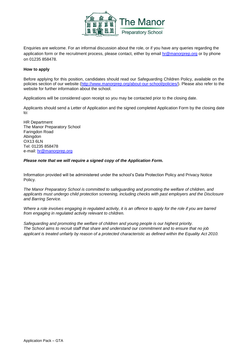

Enquiries are welcome. For an informal discussion about the role, or if you have any queries regarding the application form or the recruitment process, please contact, either by email [hr@manorprep.org](mailto:hr@manorprep.org) or by phone on 01235 858478.

#### **How to apply**

Before applying for this position, candidates should read our Safeguarding Children Policy, available on the policies section of our website [\(http://www.manorprep.org/about-our-school/policies/\)](http://www.manorprep.org/about-our-school/policies/). Please also refer to the website for further information about the school.

Applications will be considered upon receipt so you may be contacted prior to the closing date.

Applicants should send a Letter of Application and the signed completed Application Form by the closing date to:

HR Department The Manor Preparatory School Faringdon Road Abingdon OX13 6LN Tel: 01235 858478 e-mail: [hr@manorprep.org](mailto:hr@manorprep.org)

#### *Please note that we will require a signed copy of the Application Form.*

Information provided will be administered under the school's Data Protection Policy and Privacy Notice Policy.

*The Manor Preparatory School is committed to safeguarding and promoting the welfare of children, and applicants must undergo child protection screening, including checks with past employers and the Disclosure and Barring Service.* 

*Where a role involves engaging in regulated activity, it is an offence to apply for the role if you are barred from engaging in regulated activity relevant to children.*

*Safeguarding and promoting the welfare of children and young people is our highest priority. The School aims to recruit staff that share and understand our commitment and to ensure that no job applicant is treated unfairly by reason of a protected characteristic as defined within the Equality Act 2010.*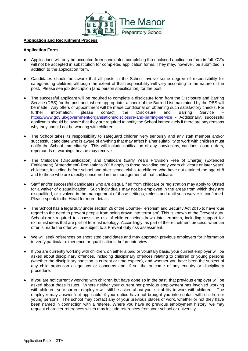

#### **Application and Recruitment Process**

#### **Application Form**

- Applications will only be accepted from candidates completing the enclosed application form in full. CV's will not be accepted in substitution for completed application forms. They may, however, be submitted in addition to the application form.
- Candidates should be aware that all posts in the School involve some degree of responsibility for safeguarding children, although the extent of that responsibility will vary according to the nature of the post. Please see job description [and person specification] for the post.
- The successful applicant will be required to complete a disclosure form from the Disclosure and Barring Service (DBS) for the post and, where appropriate, a check of the Barred List maintained by the DBS will be made. Any offers of appointment will be made conditional on obtaining such satisfactory checks. For further information, please contact the Disclosure and Barring Service – <https://www.gov.uk/government/organisations/disclosure-and-barring-service> - Additionally, successful applicants should be aware that they are required to notify the School immediately if there are any reasons why they should not be working with children.
- The School takes its responsibility to safeguard children very seriously and any staff member and/or successful candidate who is aware of anything that may affect his/her suitability to work with children must notify the School immediately. This will include notification of any convictions, cautions, court orders, reprimands or warnings he/she may receive.
- The Childcare (Disqualification) and Childcare (Early Years Provision Free of Charge) (Extended Entitlement) (Amendment) Regulations 2018 apply to those providing early years childcare or later years' childcare, including before school and after school clubs, to children who have not attained the age of 8 and to those who are directly concerned in the management of that childcare.
- Staff and/or successful candidates who are disqualified from childcare or registration may apply to Ofsted for a waiver of disqualification. Such individuals may not be employed in the areas from which they are disqualified, or involved in the management of those settings, unless and until such waiver is confirmed. Please speak to the Head for more details.
- The School has a legal duty under section 26 of the Counter-Terrorism and Security Act 2015 to have 'due regard to the need to prevent people from being drawn into terrorism'. This is known at the Prevent duty. Schools are required to assess the risk of children being drawn into terrorism, including support for extremist ideas that are part of terrorist ideology. Accordingly, as part of the recruitment process, when an offer is made the offer will be subject to a Prevent duty risk assessment.
- We will seek references on shortlisted candidates and may approach previous employers for information to verify particular experience or qualifications, before interview.
- If you are currently working with children, on either a paid or voluntary basis, your current employer will be asked about disciplinary offences, including disciplinary offences relating to children or young persons (whether the disciplinary sanction is current or time expired), and whether you have been the subject of any child protection allegations or concerns and, if so, the outcome of any enquiry or disciplinary procedure.
- If you are not currently working with children but have done so in the past, that previous employer will be asked about those issues. Where neither your current nor previous employment has involved working with children, your current employer will still be asked about your suitability to work with children. The employer may answer 'not applicable' if your duties have not brought you into contact with children or young persons. The school may contact any of your previous places of work, whether or not they have been named in connection with a referee. Where you have no previous employment history, we may request character references which may include references from your school or university.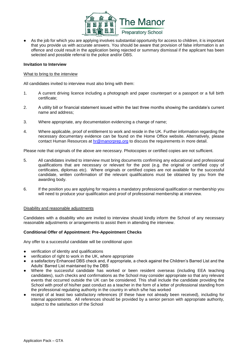

As the job for which you are applying involves substantial opportunity for access to children, it is important that you provide us with accurate answers. You should be aware that provision of false information is an offence and could result in the application being rejected or summary dismissal if the applicant has been selected and possible referral to the police and/or DBS.

#### **Invitation to Interview**

#### What to bring to the interview

All candidates invited to interview must also bring with them:

- 1. A current driving licence including a photograph and paper counterpart or a passport or a full birth certificate;
- 2. A utility bill or financial statement issued within the last three months showing the candidate's current name and address;
- 3. Where appropriate, any documentation evidencing a change of name;
- 4. Where applicable, proof of entitlement to work and reside in the UK. Further information regarding the necessary documentary evidence can be found on the Home Office website. Alternatively, please contact Human Resources at [hr@manorprep.org](mailto:hr@manorprep.org) to discuss the requirements in more detail.

Please note that originals of the above are necessary. Photocopies or certified copies are not sufficient.

- 5. All candidates invited to interview must bring documents confirming any educational and professional qualifications that are necessary or relevant for the post (e.g. the original or certified copy of certificates, diplomas etc). Where originals or certified copies are not available for the successful candidate, written confirmation of the relevant qualifications must be obtained by you from the awarding body.
- 6. If the position you are applying for requires a mandatory professional qualification or membership you will need to produce your qualification and proof of professional membership at interview.

#### Disability and reasonable adjustments

Candidates with a disability who are invited to interview should kindly inform the School of any necessary reasonable adjustments or arrangements to assist them in attending the interview.

#### **Conditional Offer of Appointment: Pre-Appointment Checks**

Any offer to a successful candidate will be conditional upon

- verification of identity and qualifications
- verification of right to work in the UK, where appropriate
- a satisfactory Enhanced DBS check and, if appropriate, a check against the Children's Barred List and the Adults' Barred List maintained by the DBS
- Where the successful candidate has worked or been resident overseas (including EEA teaching candidates), such checks and confirmations as the School may consider appropriate so that any relevant events that occurred outside the UK can be considered. This shall include the candidate providing the School with proof of his/her past conduct as a teacher in the form of a letter of professional standing from the professional regulating authority in the country in which s/he has worked
- receipt of at least two satisfactory references (if these have not already been received), including for internal appointments. All references should be provided by a senior person with appropriate authority, subject to the satisfaction of the School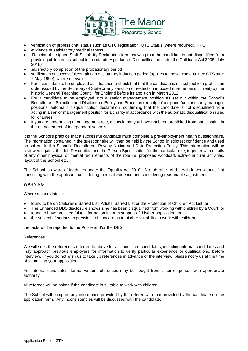

- verification of professional status such as GTC registration, QTS Status (where required), NPQH
- evidence of satisfactory medical fitness
- Receipt of a signed Staff Suitability Declaration form showing that the candidate is not disqualified from providing childcare as set out in the statutory guidance "Disqualification under the Childcare Act 2006 (July 2018)"
- satisfactory completion of the probationary period
- verification of successful completion of statutory induction period (applies to those who obtained QTS after 7 May 1999), where relevant
- For a candidate to be employed as a teacher, a check that that the candidate is not subject to a prohibition order issued by the Secretary of State or any sanction or restriction imposed (that remains current) by the historic General Teaching Council for England before its abolition in March 2012
- For a candidate to be employed into a senior management position as set out within the School's Recruitment, Selection and Disclosures Policy and Procedure, receipt of a signed "senior charity manager positions: automatic disqualification declaration" confirming that the candidate is not disqualified from acting in a senior management position for a charity in accordance with the automatic disqualification rules for charities
- If you are undertaking a management role, a check that you have not been prohibited from participating in the management of independent schools.

It is the School's practice that a successful candidate must complete a pre-employment health questionnaire. The information contained in the questionnaire will then be held by the School in strictest confidence and used as set out in the School's Recruitment Privacy Notice and Data Protection Policy. This information will be reviewed against the Job Description and the Person Specification for the particular role, together with details of any other physical or mental requirements of the role i.e. proposed workload, extra-curricular activities, layout of the School etc.

The School is aware of its duties under the Equality Act 2010. No job offer will be withdrawn without first consulting with the applicant, considering medical evidence and considering reasonable adjustments.

#### **WARNING**

Where a candidate is:

- found to be on Children's Barred List, Adults' Barred List or the Protection of Children Act List; or
- The Enhanced DBS disclosure shows s/he has been disqualified from working with children by a Court; or
- found to have provided false information in, or in support of, his/her application; or
- the subject of serious expressions of concern as to his/her suitability to work with children,

the facts will be reported to the Police and/or the DBS.

#### References

We will seek the references referred to above for all shortlisted candidates, including internal candidates and may approach previous employers for information to verify particular experience or qualifications, before interview. If you do not wish us to take up references in advance of the interview, please notify us at the time of submitting your application.

For internal candidates, formal written references may be sought from a senior person with appropriate authority.

All referees will be asked if the candidate is suitable to work with children.

The School will compare any information provided by the referee with that provided by the candidate on the application form. Any inconsistencies will be discussed with the candidate.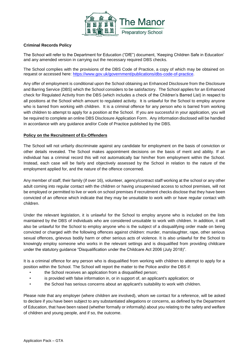

#### **Criminal Records Policy**

The School will refer to the Department for Education ("DfE") document, 'Keeping Children Safe in Education' and any amended version in carrying out the necessary required DBS checks.

The School complies with the provisions of the DBS Code of Practice, a copy of which may be obtained on request or accessed here: [https://www.gov.uk/government/publications/dbs-code-of-practice.](https://www.gov.uk/government/publications/dbs-code-of-practice)

Any offer of employment is conditional upon the School obtaining an Enhanced Disclosure from the Disclosure and Barring Service (DBS) which the School considers to be satisfactory. The School applies for an Enhanced check for Regulated Activity from the DBS (which includes a check of the Children's Barred List) in respect to all positions at the School which amount to regulated activity. It is unlawful for the School to employ anyone who is barred from working with children. It is a criminal offence for any person who is barred from working with children to attempt to apply for a position at the School. If you are successful in your application, you will be required to complete an online DBS Disclosure Application Form. Any information disclosed will be handled in accordance with any guidance and/or Code of Practice published by the DBS.

#### **Policy on the Recruitment of Ex-Offenders**

The School will not unfairly discriminate against any candidate for employment on the basis of conviction or other details revealed. The School makes appointment decisions on the basis of merit and ability. If an individual has a criminal record this will not automatically bar him/her from employment within the School. Instead, each case will be fairly and objectively assessed by the School in relation to the nature of the employment applied for, and the nature of the offence concerned.

Any member of staff, their family (if over 16), volunteer, agency/contract staff working at the school or any other adult coming into regular contact with the children or having unsupervised access to school premises, will not be employed or permitted to live or work on school premises if recruitment checks disclose that they have been convicted of an offence which indicate that they may be unsuitable to work with or have regular contact with children.

Under the relevant legislation, it is unlawful for the School to employ anyone who is included on the lists maintained by the DBS of individuals who are considered unsuitable to work with children. In addition, it will also be unlawful for the School to employ anyone who is the subject of a disqualifying order made on being convicted or charged with the following offences against children: murder, manslaughter, rape, other serious sexual offences, grievous bodily harm or other serious acts of violence. It is also unlawful for the School to knowingly employ someone who works in the relevant settings and is disqualified from providing childcare under the statutory guidance "Disqualification under the Childcare Act 2006 (July 2018)".

It is a criminal offence for any person who is disqualified from working with children to attempt to apply for a position within the School. The School will report the matter to the Police and/or the DBS if:

- the School receives an application from a disqualified person;
- is provided with false information in, or in support of, an applicant's application; or
- the School has serious concerns about an applicant's suitability to work with children.

Please note that any employer (where children are involved), whom we contact for a reference, will be asked to declare if you have been subject to any substantiated allegations or concerns, as defined by the Department of Education, that have been raised (whether formally or informally) about you relating to the safety and welfare of children and young people, and if so, the outcome.